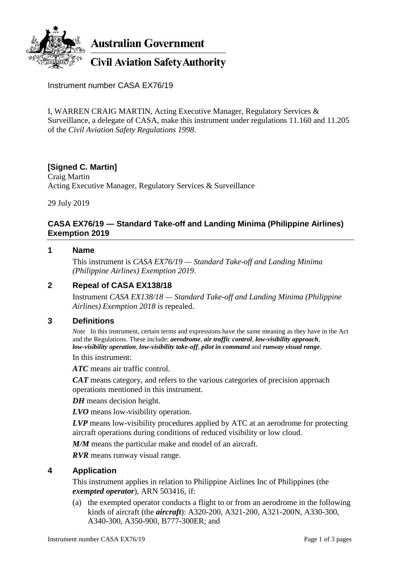

Instrument number CASA EX76/19

I, WARREN CRAIG MARTIN, Acting Executive Manager, Regulatory Services & Surveillance, a delegate of CASA, make this instrument under regulations 11.160 and 11.205 of the *Civil Aviation Safety Regulations 1998*.

# **[Signed C. Martin]**

Craig Martin Acting Executive Manager, Regulatory Services & Surveillance

29 July 2019

## **CASA EX76/19 — Standard Take-off and Landing Minima (Philippine Airlines) Exemption 2019**

#### **1 Name**

This instrument is *CASA EX76/19 — Standard Take-off and Landing Minima (Philippine Airlines) Exemption 2019*.

## **2 Repeal of CASA EX138/18**

Instrument *CASA EX138/18 — Standard Take-off and Landing Minima (Philippine Airlines) Exemption 2018* is repealed.

### **3 Definitions**

*Note* In this instrument, certain terms and expressions have the same meaning as they have in the Act and the Regulations. These include: *aerodrome*, *air traffic control*, *low-visibility approach*, *low-visibility operation*, *low-visibility take-off*, *pilot in command* and *runway visual range*.

In this instrument:

*ATC* means air traffic control.

*CAT* means category, and refers to the various categories of precision approach operations mentioned in this instrument.

*DH* means decision height.

*LVO* means low-visibility operation.

*LVP* means low-visibility procedures applied by ATC at an aerodrome for protecting aircraft operations during conditions of reduced visibility or low cloud.

*M/M* means the particular make and model of an aircraft.

*RVR* means runway visual range.

#### **4 Application**

This instrument applies in relation to Philippine Airlines Inc of Philippines (the *exempted operator*), ARN 503416, if:

(a) the exempted operator conducts a flight to or from an aerodrome in the following kinds of aircraft (the *aircraft*): A320-200, A321-200, A321-200N, A330-300, A340-300, A350-900, B777-300ER; and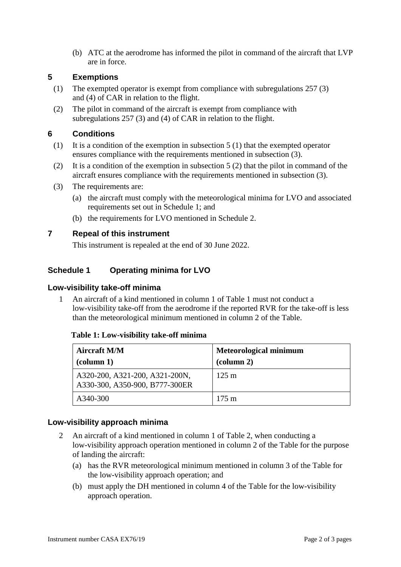(b) ATC at the aerodrome has informed the pilot in command of the aircraft that LVP are in force.

## **5 Exemptions**

- (1) The exempted operator is exempt from compliance with subregulations 257 (3) and (4) of CAR in relation to the flight.
- (2) The pilot in command of the aircraft is exempt from compliance with subregulations 257 (3) and (4) of CAR in relation to the flight.

# **6 Conditions**

- (1) It is a condition of the exemption in subsection  $5(1)$  that the exempted operator ensures compliance with the requirements mentioned in subsection (3).
- (2) It is a condition of the exemption in subsection 5 (2) that the pilot in command of the aircraft ensures compliance with the requirements mentioned in subsection (3).
- (3) The requirements are:
	- (a) the aircraft must comply with the meteorological minima for LVO and associated requirements set out in Schedule 1; and
	- (b) the requirements for LVO mentioned in Schedule 2.

# **7 Repeal of this instrument**

This instrument is repealed at the end of 30 June 2022.

# **Schedule 1 Operating minima for LVO**

### **Low-visibility take-off minima**

1 An aircraft of a kind mentioned in column 1 of Table 1 must not conduct a low-visibility take-off from the aerodrome if the reported RVR for the take-off is less than the meteorological minimum mentioned in column 2 of the Table.

#### **Table 1: Low-visibility take-off minima**

| <b>Aircraft M/M</b><br>$\left(\text{column } 1\right)$           | <b>Meteorological minimum</b><br>$\alpha$ (column 2) |
|------------------------------------------------------------------|------------------------------------------------------|
| A320-200, A321-200, A321-200N,<br>A330-300, A350-900, B777-300ER | $125 \text{ m}$                                      |
| A340-300                                                         | $175 \text{ m}$                                      |

## **Low-visibility approach minima**

- 2 An aircraft of a kind mentioned in column 1 of Table 2, when conducting a low-visibility approach operation mentioned in column 2 of the Table for the purpose of landing the aircraft:
	- (a) has the RVR meteorological minimum mentioned in column 3 of the Table for the low-visibility approach operation; and
	- (b) must apply the DH mentioned in column 4 of the Table for the low-visibility approach operation.